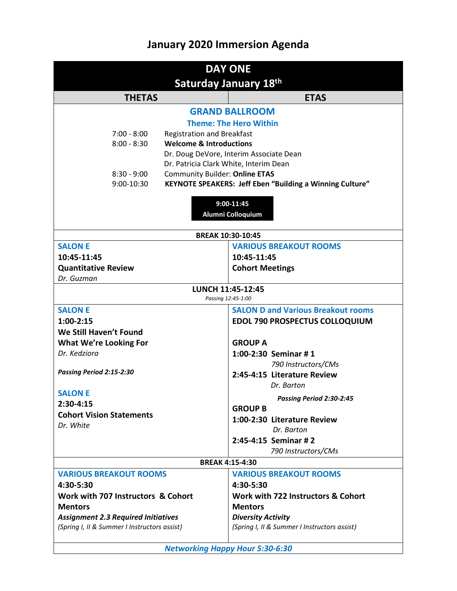## **January 2020 Immersion Agenda**

| <b>DAY ONE</b>                               |                                                                 |  |
|----------------------------------------------|-----------------------------------------------------------------|--|
| <b>Saturday January 18th</b>                 |                                                                 |  |
| <b>THETAS</b>                                | <b>ETAS</b>                                                     |  |
| <b>GRAND BALLROOM</b>                        |                                                                 |  |
| <b>Theme: The Hero Within</b>                |                                                                 |  |
| $7:00 - 8:00$                                | <b>Registration and Breakfast</b>                               |  |
| $8:00 - 8:30$                                | <b>Welcome &amp; Introductions</b>                              |  |
|                                              | Dr. Doug DeVore, Interim Associate Dean                         |  |
|                                              | Dr. Patricia Clark White, Interim Dean                          |  |
| $8:30 - 9:00$                                | <b>Community Builder: Online ETAS</b>                           |  |
| 9:00-10:30                                   | <b>KEYNOTE SPEAKERS: Jeff Eben "Building a Winning Culture"</b> |  |
| 9:00-11:45<br>Alumni Colloquium              |                                                                 |  |
| <b>BREAK 10:30-10:45</b>                     |                                                                 |  |
| <b>SALON E</b>                               | <b>VARIOUS BREAKOUT ROOMS</b>                                   |  |
| 10:45-11:45                                  | 10:45-11:45                                                     |  |
| <b>Quantitative Review</b>                   | <b>Cohort Meetings</b>                                          |  |
| Dr. Guzman                                   |                                                                 |  |
| LUNCH 11:45-12:45<br>Passing 12:45-1:00      |                                                                 |  |
| <b>SALON E</b>                               | <b>SALON D and Various Breakout rooms</b>                       |  |
| $1:00-2:15$                                  | <b>EDOL 790 PROSPECTUS COLLOQUIUM</b>                           |  |
| We Still Haven't Found                       |                                                                 |  |
| <b>What We're Looking For</b>                | <b>GROUP A</b>                                                  |  |
| Dr. Kedziora                                 | 1:00-2:30 Seminar #1                                            |  |
|                                              | 790 Instructors/CMs                                             |  |
| Passing Period 2:15-2:30                     | 2:45-4:15 Literature Review                                     |  |
| <b>SALON E</b>                               | Dr. Barton                                                      |  |
| $2:30-4:15$                                  | Passing Period 2:30-2:45                                        |  |
| <b>Cohort Vision Statements</b>              | <b>GROUP B</b>                                                  |  |
| Dr. White                                    | 1:00-2:30 Literature Review                                     |  |
|                                              | Dr. Barton                                                      |  |
|                                              | 2:45-4:15 Seminar # 2                                           |  |
|                                              | 790 Instructors/CMs                                             |  |
|                                              | <b>BREAK 4:15-4:30</b>                                          |  |
| <b>VARIOUS BREAKOUT ROOMS</b>                | <b>VARIOUS BREAKOUT ROOMS</b>                                   |  |
| 4:30-5:30                                    | 4:30-5:30                                                       |  |
| Work with 707 Instructors & Cohort           | Work with 722 Instructors & Cohort                              |  |
| <b>Mentors</b>                               | <b>Mentors</b>                                                  |  |
| <b>Assignment 2.3 Required Initiatives</b>   | <b>Diversity Activity</b>                                       |  |
| (Spring I, II & Summer I Instructors assist) | (Spring I, II & Summer I Instructors assist)                    |  |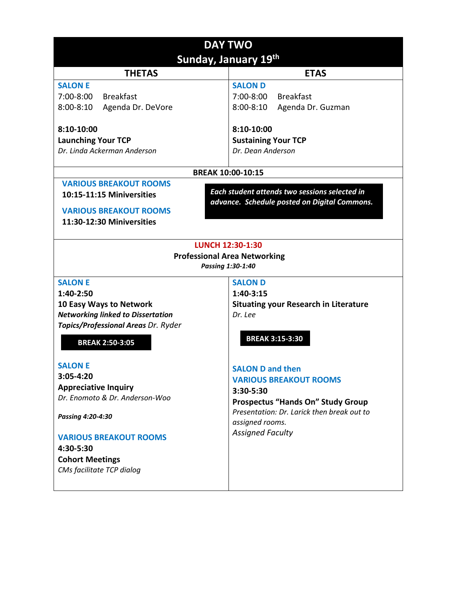| <b>DAY TWO</b>                                           |                                                                                               |  |
|----------------------------------------------------------|-----------------------------------------------------------------------------------------------|--|
| Sunday, January 19th                                     |                                                                                               |  |
| <b>THETAS</b>                                            | <b>ETAS</b>                                                                                   |  |
| <b>SALON E</b>                                           | <b>SALON D</b>                                                                                |  |
| 7:00-8:00<br><b>Breakfast</b>                            | 7:00-8:00<br><b>Breakfast</b>                                                                 |  |
| Agenda Dr. DeVore<br>$8:00 - 8:10$                       | $8:00 - 8:10$<br>Agenda Dr. Guzman                                                            |  |
| 8:10-10:00                                               | 8:10-10:00                                                                                    |  |
| <b>Launching Your TCP</b>                                | <b>Sustaining Your TCP</b>                                                                    |  |
| Dr. Linda Ackerman Anderson                              | Dr. Dean Anderson                                                                             |  |
| <b>BREAK 10:00-10:15</b>                                 |                                                                                               |  |
| <b>VARIOUS BREAKOUT ROOMS</b>                            |                                                                                               |  |
| 10:15-11:15 Miniversities                                | Each student attends two sessions selected in<br>advance. Schedule posted on Digital Commons. |  |
| <b>VARIOUS BREAKOUT ROOMS</b>                            |                                                                                               |  |
| 11:30-12:30 Miniversities                                |                                                                                               |  |
|                                                          |                                                                                               |  |
| <b>LUNCH 12:30-1:30</b>                                  |                                                                                               |  |
| <b>Professional Area Networking</b><br>Passing 1:30-1:40 |                                                                                               |  |
| <b>SALON E</b>                                           | <b>SALON D</b>                                                                                |  |
| 1:40-2:50                                                | 1:40-3:15                                                                                     |  |
| 10 Easy Ways to Network                                  | <b>Situating your Research in Literature</b>                                                  |  |
| <b>Networking linked to Dissertation</b>                 | Dr. Lee                                                                                       |  |
| Topics/Professional Areas Dr. Ryder                      |                                                                                               |  |
| <b>BREAK 2:50-3:05</b>                                   | <b>BREAK 3:15-3:30</b>                                                                        |  |
| <b>SALON E</b>                                           | <b>SALON D and then</b>                                                                       |  |
| 3:05-4:20                                                | <b>VARIOUS BREAKOUT ROOMS</b>                                                                 |  |
| <b>Appreciative Inquiry</b>                              | 3:30-5:30                                                                                     |  |
| Dr. Enomoto & Dr. Anderson-Woo                           | <b>Prospectus "Hands On" Study Group</b>                                                      |  |
| Passing 4:20-4:30                                        | Presentation: Dr. Larick then break out to<br>assigned rooms.                                 |  |
| <b>VARIOUS BREAKOUT ROOMS</b>                            | <b>Assigned Faculty</b>                                                                       |  |
| 4:30-5:30                                                |                                                                                               |  |
| <b>Cohort Meetings</b>                                   |                                                                                               |  |
| CMs facilitate TCP dialog                                |                                                                                               |  |
|                                                          |                                                                                               |  |
|                                                          |                                                                                               |  |
|                                                          |                                                                                               |  |
|                                                          |                                                                                               |  |